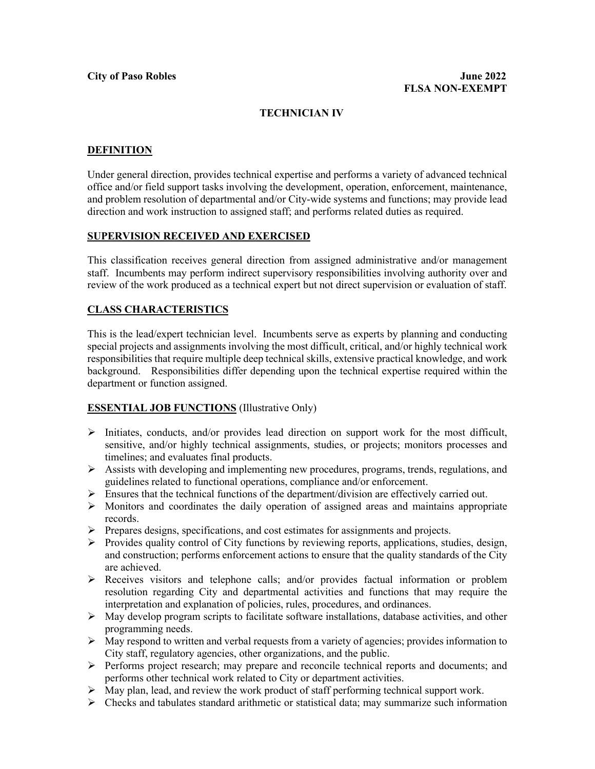# **TECHNICIAN IV**

# **DEFINITION**

Under general direction, provides technical expertise and performs a variety of advanced technical office and/or field support tasks involving the development, operation, enforcement, maintenance, and problem resolution of departmental and/or City-wide systems and functions; may provide lead direction and work instruction to assigned staff; and performs related duties as required.

#### **SUPERVISION RECEIVED AND EXERCISED**

This classification receives general direction from assigned administrative and/or management staff. Incumbents may perform indirect supervisory responsibilities involving authority over and review of the work produced as a technical expert but not direct supervision or evaluation of staff.

# **CLASS CHARACTERISTICS**

This is the lead/expert technician level. Incumbents serve as experts by planning and conducting special projects and assignments involving the most difficult, critical, and/or highly technical work responsibilities that require multiple deep technical skills, extensive practical knowledge, and work background. Responsibilities differ depending upon the technical expertise required within the department or function assigned.

#### **ESSENTIAL JOB FUNCTIONS** (Illustrative Only)

- $\triangleright$  Initiates, conducts, and/or provides lead direction on support work for the most difficult, sensitive, and/or highly technical assignments, studies, or projects; monitors processes and timelines; and evaluates final products.
- Assists with developing and implementing new procedures, programs, trends, regulations, and guidelines related to functional operations, compliance and/or enforcement.
- $\triangleright$  Ensures that the technical functions of the department/division are effectively carried out.
- $\triangleright$  Monitors and coordinates the daily operation of assigned areas and maintains appropriate records.
- Prepares designs, specifications, and cost estimates for assignments and projects.
- $\triangleright$  Provides quality control of City functions by reviewing reports, applications, studies, design, and construction; performs enforcement actions to ensure that the quality standards of the City are achieved.
- Receives visitors and telephone calls; and/or provides factual information or problem resolution regarding City and departmental activities and functions that may require the interpretation and explanation of policies, rules, procedures, and ordinances.
- $\triangleright$  May develop program scripts to facilitate software installations, database activities, and other programming needs.
- $\triangleright$  May respond to written and verbal requests from a variety of agencies; provides information to City staff, regulatory agencies, other organizations, and the public.
- $\triangleright$  Performs project research; may prepare and reconcile technical reports and documents; and performs other technical work related to City or department activities.
- $\triangleright$  May plan, lead, and review the work product of staff performing technical support work.
- $\triangleright$  Checks and tabulates standard arithmetic or statistical data; may summarize such information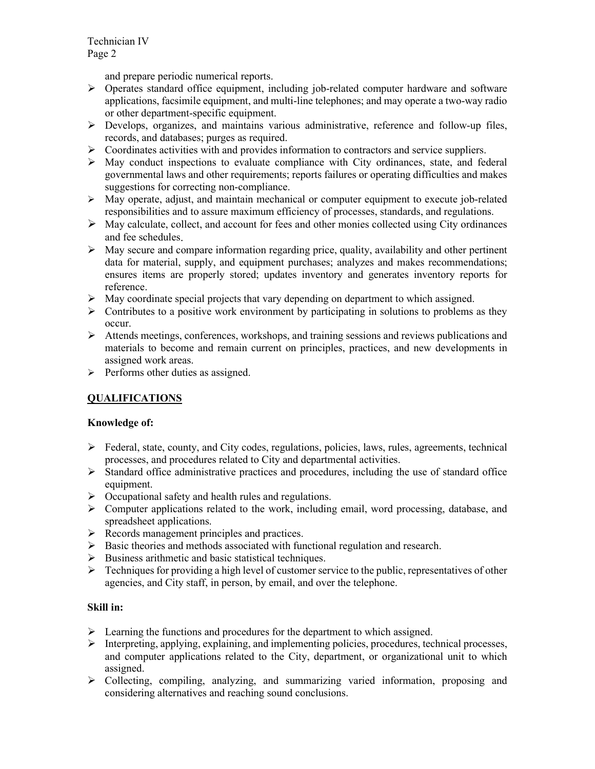Technician IV Page 2

and prepare periodic numerical reports.

- $\triangleright$  Operates standard office equipment, including job-related computer hardware and software applications, facsimile equipment, and multi-line telephones; and may operate a two-way radio or other department-specific equipment.
- Develops, organizes, and maintains various administrative, reference and follow-up files, records, and databases; purges as required.
- Coordinates activities with and provides information to contractors and service suppliers.
- $\triangleright$  May conduct inspections to evaluate compliance with City ordinances, state, and federal governmental laws and other requirements; reports failures or operating difficulties and makes suggestions for correcting non-compliance.
- $\triangleright$  May operate, adjust, and maintain mechanical or computer equipment to execute job-related responsibilities and to assure maximum efficiency of processes, standards, and regulations.
- $\triangleright$  May calculate, collect, and account for fees and other monies collected using City ordinances and fee schedules.
- $\triangleright$  May secure and compare information regarding price, quality, availability and other pertinent data for material, supply, and equipment purchases; analyzes and makes recommendations; ensures items are properly stored; updates inventory and generates inventory reports for reference.
- $\triangleright$  May coordinate special projects that vary depending on department to which assigned.
- $\triangleright$  Contributes to a positive work environment by participating in solutions to problems as they occur.
- $\triangleright$  Attends meetings, conferences, workshops, and training sessions and reviews publications and materials to become and remain current on principles, practices, and new developments in assigned work areas.
- $\triangleright$  Performs other duties as assigned.

# **QUALIFICATIONS**

#### **Knowledge of:**

- Federal, state, county, and City codes, regulations, policies, laws, rules, agreements, technical processes, and procedures related to City and departmental activities.
- $\triangleright$  Standard office administrative practices and procedures, including the use of standard office equipment.
- $\triangleright$  Occupational safety and health rules and regulations.
- Computer applications related to the work, including email, word processing, database, and spreadsheet applications.
- $\triangleright$  Records management principles and practices.
- $\triangleright$  Basic theories and methods associated with functional regulation and research.
- $\triangleright$  Business arithmetic and basic statistical techniques.
- $\triangleright$  Techniques for providing a high level of customer service to the public, representatives of other agencies, and City staff, in person, by email, and over the telephone.

#### **Skill in:**

- $\triangleright$  Learning the functions and procedures for the department to which assigned.
- $\triangleright$  Interpreting, applying, explaining, and implementing policies, procedures, technical processes, and computer applications related to the City, department, or organizational unit to which assigned.
- Collecting, compiling, analyzing, and summarizing varied information, proposing and considering alternatives and reaching sound conclusions.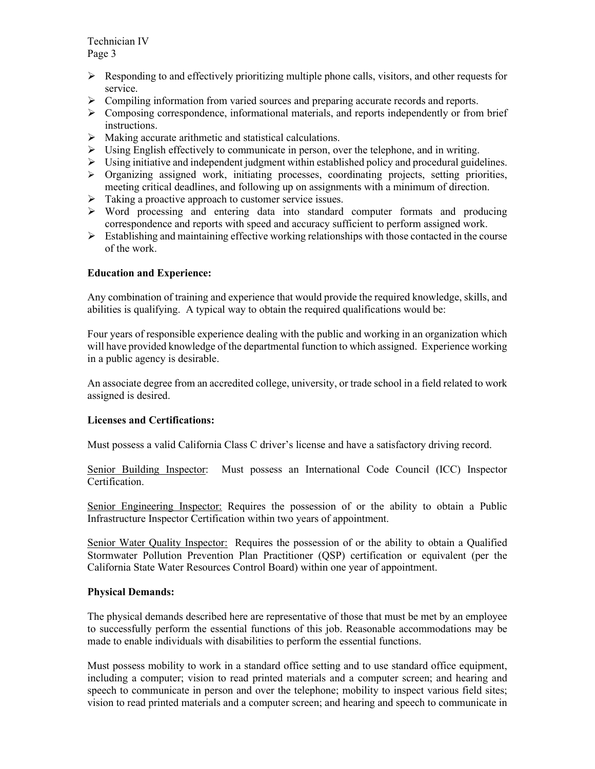Technician IV Page 3

- $\triangleright$  Responding to and effectively prioritizing multiple phone calls, visitors, and other requests for service.
- $\triangleright$  Compiling information from varied sources and preparing accurate records and reports.
- Composing correspondence, informational materials, and reports independently or from brief instructions.
- $\triangleright$  Making accurate arithmetic and statistical calculations.
- $\triangleright$  Using English effectively to communicate in person, over the telephone, and in writing.
- $\triangleright$  Using initiative and independent judgment within established policy and procedural guidelines.
- $\triangleright$  Organizing assigned work, initiating processes, coordinating projects, setting priorities, meeting critical deadlines, and following up on assignments with a minimum of direction.
- $\triangleright$  Taking a proactive approach to customer service issues.
- Word processing and entering data into standard computer formats and producing correspondence and reports with speed and accuracy sufficient to perform assigned work.
- $\triangleright$  Establishing and maintaining effective working relationships with those contacted in the course of the work.

#### **Education and Experience:**

Any combination of training and experience that would provide the required knowledge, skills, and abilities is qualifying. A typical way to obtain the required qualifications would be:

Four years of responsible experience dealing with the public and working in an organization which will have provided knowledge of the departmental function to which assigned. Experience working in a public agency is desirable.

An associate degree from an accredited college, university, or trade school in a field related to work assigned is desired.

#### **Licenses and Certifications:**

Must possess a valid California Class C driver's license and have a satisfactory driving record.

Senior Building Inspector: Must possess an International Code Council (ICC) Inspector Certification.

Senior Engineering Inspector: Requires the possession of or the ability to obtain a Public Infrastructure Inspector Certification within two years of appointment.

Senior Water Quality Inspector: Requires the possession of or the ability to obtain a Qualified Stormwater Pollution Prevention Plan Practitioner (QSP) certification or equivalent (per the California State Water Resources Control Board) within one year of appointment.

#### **Physical Demands:**

The physical demands described here are representative of those that must be met by an employee to successfully perform the essential functions of this job. Reasonable accommodations may be made to enable individuals with disabilities to perform the essential functions.

Must possess mobility to work in a standard office setting and to use standard office equipment, including a computer; vision to read printed materials and a computer screen; and hearing and speech to communicate in person and over the telephone; mobility to inspect various field sites; vision to read printed materials and a computer screen; and hearing and speech to communicate in